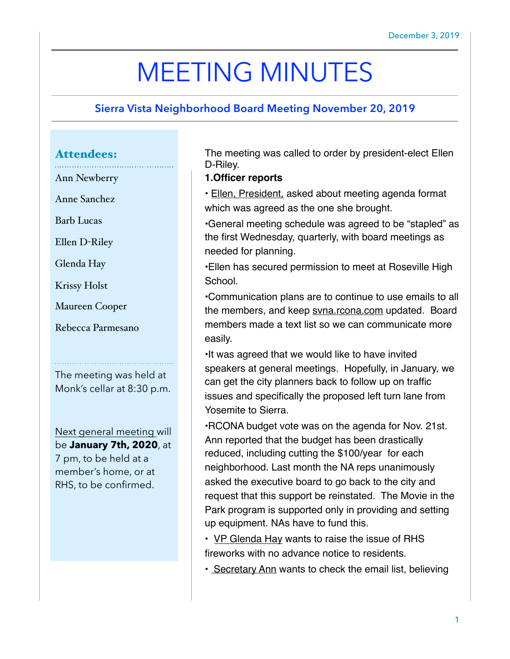# MEETING MINUTES

## **Sierra Vista Neighborhood Board Meeting November 20, 2019**

### Attendees:

Ann Newberry

Anne Sanchez

Barb Lucas

Ellen D-Riley

Glenda Hay

Krissy Holst

Maureen Cooper

Rebecca Parmesano

The meeting was held at Monk's cellar at 8:30 p.m.

Next general meeting will be **January 7th, 2020**, at 7 pm, to be held at a member's home, or at RHS, to be confirmed.

The meeting was called to order by president-elect Ellen D-Riley.

#### **1.Officer reports**

• Ellen, President, asked about meeting agenda format which was agreed as the one she brought.

•General meeting schedule was agreed to be "stapled" as the first Wednesday, quarterly, with board meetings as needed for planning.

•Ellen has secured permission to meet at Roseville High School.

•Communication plans are to continue to use emails to all the members, and keep [svna.rcona.com](http://svna.rcona.com) updated. Board members made a text list so we can communicate more easily.

•It was agreed that we would like to have invited speakers at general meetings. Hopefully, in January, we can get the city planners back to follow up on traffic issues and specifically the proposed left turn lane from Yosemite to Sierra.

•RCONA budget vote was on the agenda for Nov. 21st. Ann reported that the budget has been drastically reduced, including cutting the \$100/year for each neighborhood. Last month the NA reps unanimously asked the executive board to go back to the city and request that this support be reinstated. The Movie in the Park program is supported only in providing and setting up equipment. NAs have to fund this.

• VP Glenda Hay wants to raise the issue of RHS fireworks with no advance notice to residents.

• Secretary Ann wants to check the email list, believing